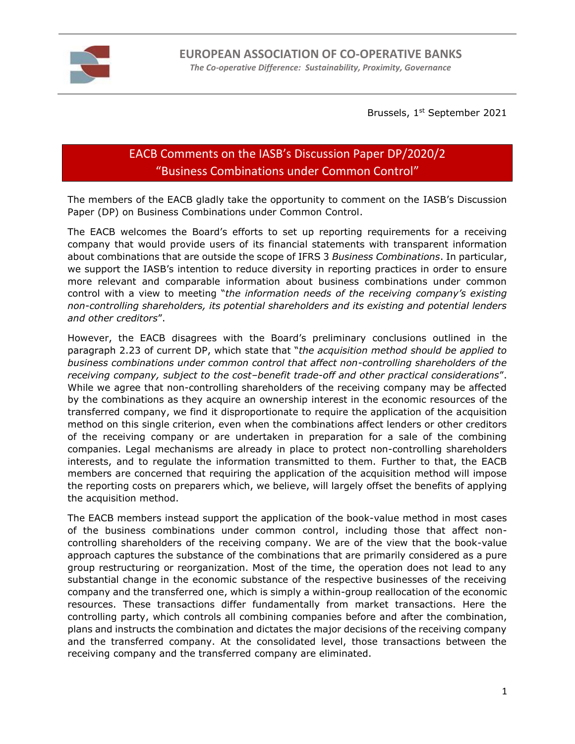

Brussels, 1<sup>st</sup> September 2021

## EACB Comments on the IASB's Discussion Paper DP/2020/2 "Business Combinations under Common Control"

The members of the EACB gladly take the opportunity to comment on the IASB's Discussion Paper (DP) on Business Combinations under Common Control.

The EACB welcomes the Board's efforts to set up reporting requirements for a receiving company that would provide users of its financial statements with transparent information about combinations that are outside the scope of IFRS 3 *Business Combinations*. In particular, we support the IASB's intention to reduce diversity in reporting practices in order to ensure more relevant and comparable information about business combinations under common control with a view to meeting "*the information needs of the receiving company's existing non-controlling shareholders, its potential shareholders and its existing and potential lenders and other creditors*".

However, the EACB disagrees with the Board's preliminary conclusions outlined in the paragraph 2.23 of current DP, which state that "*the acquisition method should be applied to business combinations under common control that affect non-controlling shareholders of the receiving company, subject to the cost–benefit trade-off and other practical considerations*". While we agree that non-controlling shareholders of the receiving company may be affected by the combinations as they acquire an ownership interest in the economic resources of the transferred company, we find it disproportionate to require the application of the acquisition method on this single criterion, even when the combinations affect lenders or other creditors of the receiving company or are undertaken in preparation for a sale of the combining companies. Legal mechanisms are already in place to protect non-controlling shareholders interests, and to regulate the information transmitted to them. Further to that, the EACB members are concerned that requiring the application of the acquisition method will impose the reporting costs on preparers which, we believe, will largely offset the benefits of applying the acquisition method.

The EACB members instead support the application of the book-value method in most cases of the business combinations under common control, including those that affect noncontrolling shareholders of the receiving company. We are of the view that the book-value approach captures the substance of the combinations that are primarily considered as a pure group restructuring or reorganization. Most of the time, the operation does not lead to any substantial change in the economic substance of the respective businesses of the receiving company and the transferred one, which is simply a within-group reallocation of the economic resources. These transactions differ fundamentally from market transactions. Here the controlling party, which controls all combining companies before and after the combination, plans and instructs the combination and dictates the major decisions of the receiving company and the transferred company. At the consolidated level, those transactions between the receiving company and the transferred company are eliminated.